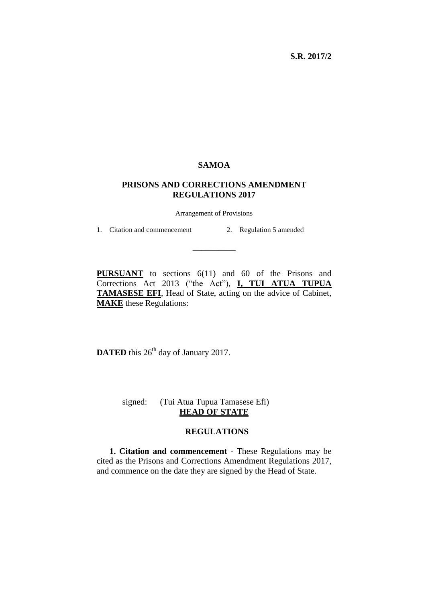**S.R. 2017/2**

## **SAMOA**

## **PRISONS AND CORRECTIONS AMENDMENT REGULATIONS 2017**

Arrangement of Provisions

\_\_\_\_\_\_\_\_\_\_

1. Citation and commencement 2. Regulation 5 amended

**PURSUANT** to sections 6(11) and 60 of the Prisons and Corrections Act 2013 ("the Act"), **I, TUI ATUA TUPUA TAMASESE EFI**, Head of State, acting on the advice of Cabinet, **MAKE** these Regulations:

**DATED** this 26<sup>th</sup> day of January 2017.

signed: (Tui Atua Tupua Tamasese Efi) **HEAD OF STATE**

## **REGULATIONS**

**1. Citation and commencement** - These Regulations may be cited as the Prisons and Corrections Amendment Regulations 2017, and commence on the date they are signed by the Head of State.